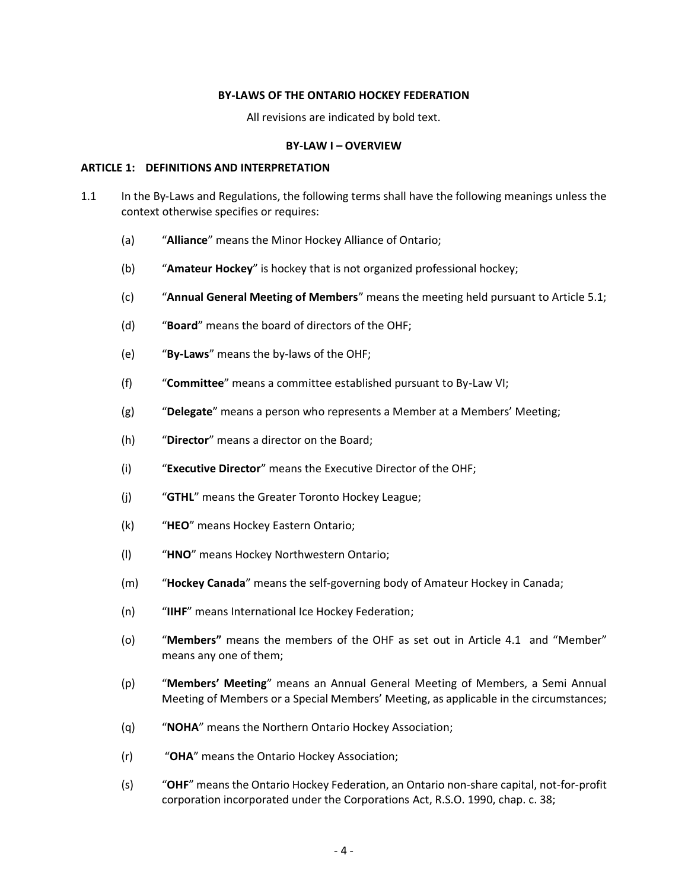### **BY-LAWS OF THE ONTARIO HOCKEY FEDERATION**

All revisions are indicated by bold text.

### **BY-LAW I – OVERVIEW**

### **ARTICLE 1: DEFINITIONS AND INTERPRETATION**

- 1.1 In the By-Laws and Regulations, the following terms shall have the following meanings unless the context otherwise specifies or requires:
	- (a) "**Alliance**" means the Minor Hockey Alliance of Ontario;
	- (b) "**Amateur Hockey**" is hockey that is not organized professional hockey;
	- (c) "**Annual General Meeting of Members**" means the meeting held pursuant to Article 5.1;
	- (d) "**Board**" means the board of directors of the OHF;
	- (e) "**By-Laws**" means the by-laws of the OHF;
	- (f) "**Committee**" means a committee established pursuant to By-Law VI;
	- (g) "**Delegate**" means a person who represents a Member at a Members' Meeting;
	- (h) "**Director**" means a director on the Board;
	- (i) "**Executive Director**" means the Executive Director of the OHF;
	- (j) "**GTHL**" means the Greater Toronto Hockey League;
	- (k) "**HEO**" means Hockey Eastern Ontario;
	- (l) "**HNO**" means Hockey Northwestern Ontario;
	- (m) "**Hockey Canada**" means the self-governing body of Amateur Hockey in Canada;
	- (n) "**IIHF**" means International Ice Hockey Federation;
	- (o) "**Members"** means the members of the OHF as set out in Article 4.1 and "Member" means any one of them;
	- (p) "**Members' Meeting**" means an Annual General Meeting of Members, a Semi Annual Meeting of Members or a Special Members' Meeting, as applicable in the circumstances;
	- (q) "**NOHA**" means the Northern Ontario Hockey Association;
	- (r) "**OHA**" means the Ontario Hockey Association;
	- (s) "**OHF**" means the Ontario Hockey Federation, an Ontario non-share capital, not-for-profit corporation incorporated under the Corporations Act, R.S.O. 1990, chap. c. 38;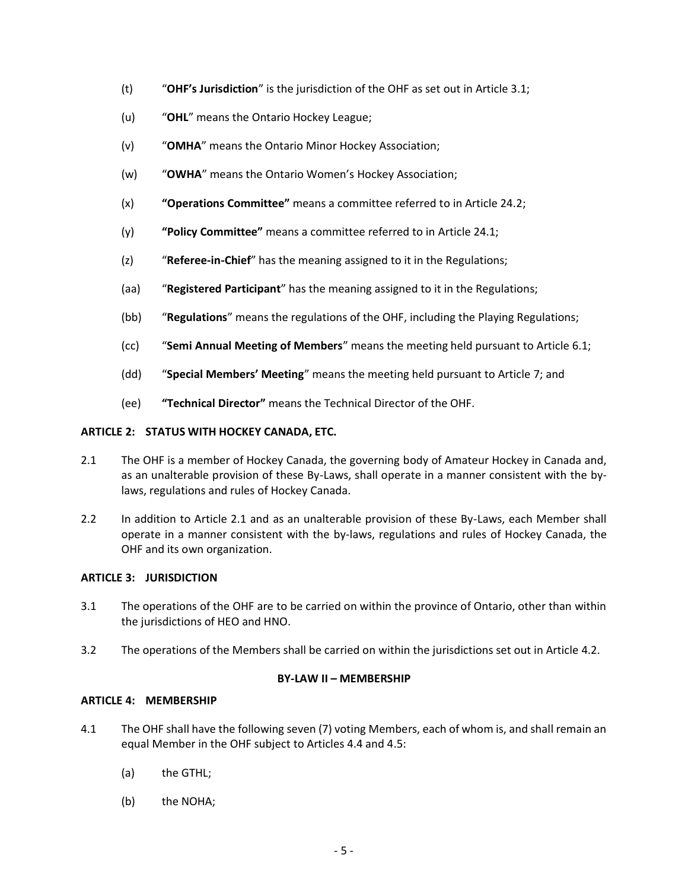- (t) "**OHF's Jurisdiction**" is the jurisdiction of the OHF as set out in Article 3.1;
- (u) "**OHL**" means the Ontario Hockey League;
- (v) "**OMHA**" means the Ontario Minor Hockey Association;
- (w) "**OWHA**" means the Ontario Women's Hockey Association;
- (x) **"Operations Committee"** means a committee referred to in Article 24.2;
- (y) **"Policy Committee"** means a committee referred to in Article 24.1;
- (z) "**Referee-in-Chief**" has the meaning assigned to it in the Regulations;
- (aa) "**Registered Participant**" has the meaning assigned to it in the Regulations;
- (bb) "**Regulations**" means the regulations of the OHF, including the Playing Regulations;
- (cc) "**Semi Annual Meeting of Members**" means the meeting held pursuant to Article 6.1;
- (dd) "**Special Members' Meeting**" means the meeting held pursuant to Article 7; and
- (ee) **"Technical Director"** means the Technical Director of the OHF.

# **ARTICLE 2: STATUS WITH HOCKEY CANADA, ETC.**

- 2.1 The OHF is a member of Hockey Canada, the governing body of Amateur Hockey in Canada and, as an unalterable provision of these By-Laws, shall operate in a manner consistent with the bylaws, regulations and rules of Hockey Canada.
- 2.2 In addition to Article 2.1 and as an unalterable provision of these By-Laws, each Member shall operate in a manner consistent with the by-laws, regulations and rules of Hockey Canada, the OHF and its own organization.

# **ARTICLE 3: JURISDICTION**

- 3.1 The operations of the OHF are to be carried on within the province of Ontario, other than within the jurisdictions of HEO and HNO.
- 3.2 The operations of the Members shall be carried on within the jurisdictions set out in Article 4.2.

# **BY-LAW II – MEMBERSHIP**

# **ARTICLE 4: MEMBERSHIP**

- 4.1 The OHF shall have the following seven (7) voting Members, each of whom is, and shall remain an equal Member in the OHF subject to Articles 4.4 and 4.5:
	- (a) the GTHL;
	- (b) the NOHA;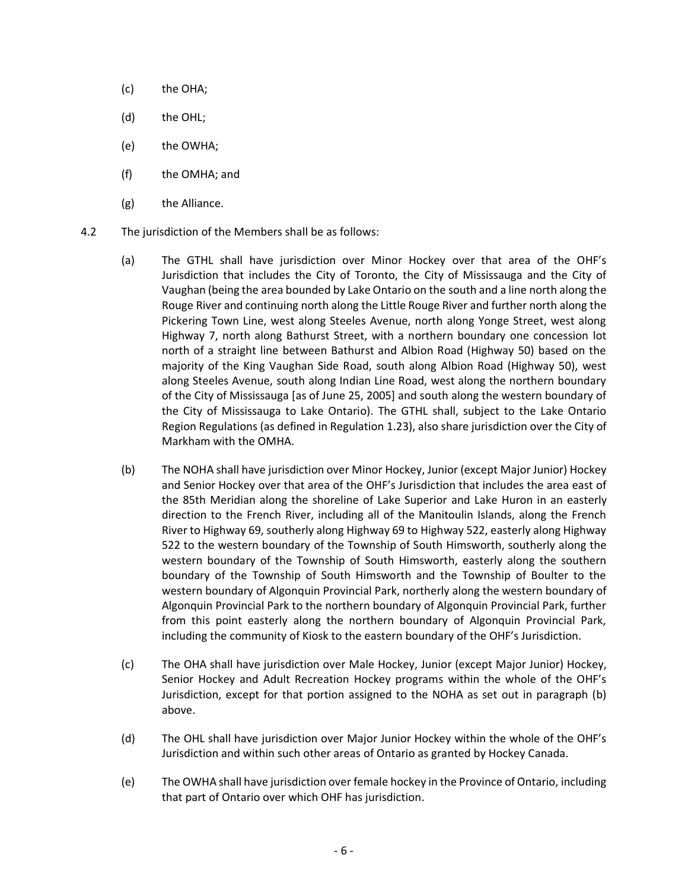- (c) the OHA;
- (d) the OHL;
- (e) the OWHA;
- (f) the OMHA; and
- (g) the Alliance.
- 4.2 The jurisdiction of the Members shall be as follows:
	- (a) The GTHL shall have jurisdiction over Minor Hockey over that area of the OHF's Jurisdiction that includes the City of Toronto, the City of Mississauga and the City of Vaughan (being the area bounded by Lake Ontario on the south and a line north along the Rouge River and continuing north along the Little Rouge River and further north along the Pickering Town Line, west along Steeles Avenue, north along Yonge Street, west along Highway 7, north along Bathurst Street, with a northern boundary one concession lot north of a straight line between Bathurst and Albion Road (Highway 50) based on the majority of the King Vaughan Side Road, south along Albion Road (Highway 50), west along Steeles Avenue, south along Indian Line Road, west along the northern boundary of the City of Mississauga [as of June 25, 2005] and south along the western boundary of the City of Mississauga to Lake Ontario). The GTHL shall, subject to the Lake Ontario Region Regulations (as defined in Regulation 1.23), also share jurisdiction over the City of Markham with the OMHA.
	- (b) The NOHA shall have jurisdiction over Minor Hockey, Junior (except Major Junior) Hockey and Senior Hockey over that area of the OHF's Jurisdiction that includes the area east of the 85th Meridian along the shoreline of Lake Superior and Lake Huron in an easterly direction to the French River, including all of the Manitoulin Islands, along the French River to Highway 69, southerly along Highway 69 to Highway 522, easterly along Highway 522 to the western boundary of the Township of South Himsworth, southerly along the western boundary of the Township of South Himsworth, easterly along the southern boundary of the Township of South Himsworth and the Township of Boulter to the western boundary of Algonquin Provincial Park, northerly along the western boundary of Algonquin Provincial Park to the northern boundary of Algonquin Provincial Park, further from this point easterly along the northern boundary of Algonquin Provincial Park, including the community of Kiosk to the eastern boundary of the OHF's Jurisdiction.
	- (c) The OHA shall have jurisdiction over Male Hockey, Junior (except Major Junior) Hockey, Senior Hockey and Adult Recreation Hockey programs within the whole of the OHF's Jurisdiction, except for that portion assigned to the NOHA as set out in paragraph (b) above.
	- (d) The OHL shall have jurisdiction over Major Junior Hockey within the whole of the OHF's Jurisdiction and within such other areas of Ontario as granted by Hockey Canada.
	- (e) The OWHA shall have jurisdiction over female hockey in the Province of Ontario, including that part of Ontario over which OHF has jurisdiction.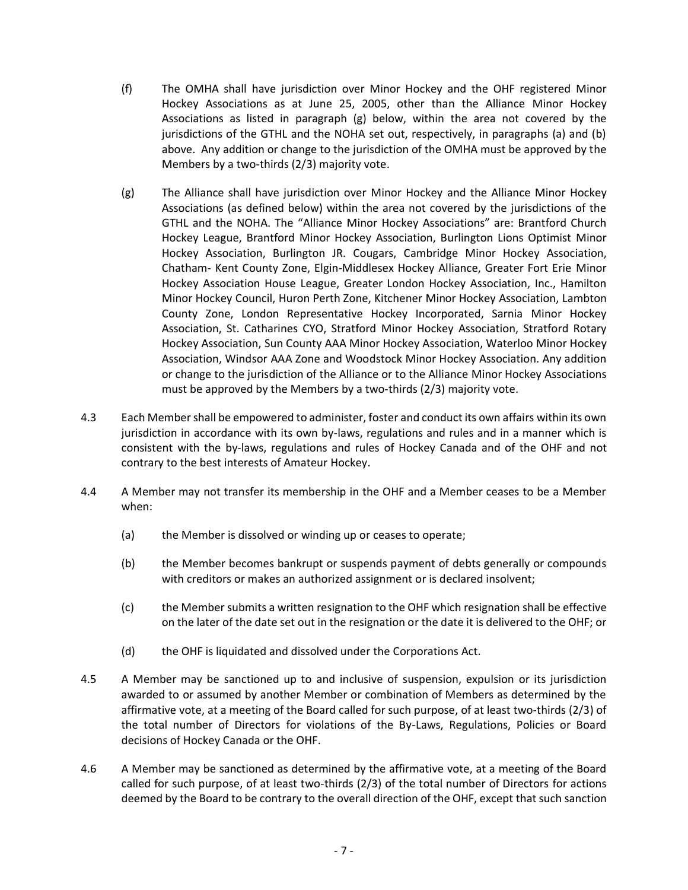- (f) The OMHA shall have jurisdiction over Minor Hockey and the OHF registered Minor Hockey Associations as at June 25, 2005, other than the Alliance Minor Hockey Associations as listed in paragraph (g) below, within the area not covered by the jurisdictions of the GTHL and the NOHA set out, respectively, in paragraphs (a) and (b) above. Any addition or change to the jurisdiction of the OMHA must be approved by the Members by a two-thirds (2/3) majority vote.
- (g) The Alliance shall have jurisdiction over Minor Hockey and the Alliance Minor Hockey Associations (as defined below) within the area not covered by the jurisdictions of the GTHL and the NOHA. The "Alliance Minor Hockey Associations" are: Brantford Church Hockey League, Brantford Minor Hockey Association, Burlington Lions Optimist Minor Hockey Association, Burlington JR. Cougars, Cambridge Minor Hockey Association, Chatham- Kent County Zone, Elgin-Middlesex Hockey Alliance, Greater Fort Erie Minor Hockey Association House League, Greater London Hockey Association, Inc., Hamilton Minor Hockey Council, Huron Perth Zone, Kitchener Minor Hockey Association, Lambton County Zone, London Representative Hockey Incorporated, Sarnia Minor Hockey Association, St. Catharines CYO, Stratford Minor Hockey Association, Stratford Rotary Hockey Association, Sun County AAA Minor Hockey Association, Waterloo Minor Hockey Association, Windsor AAA Zone and Woodstock Minor Hockey Association. Any addition or change to the jurisdiction of the Alliance or to the Alliance Minor Hockey Associations must be approved by the Members by a two-thirds (2/3) majority vote.
- 4.3 Each Member shall be empowered to administer, foster and conduct its own affairs within its own jurisdiction in accordance with its own by-laws, regulations and rules and in a manner which is consistent with the by-laws, regulations and rules of Hockey Canada and of the OHF and not contrary to the best interests of Amateur Hockey.
- 4.4 A Member may not transfer its membership in the OHF and a Member ceases to be a Member when:
	- (a) the Member is dissolved or winding up or ceases to operate;
	- (b) the Member becomes bankrupt or suspends payment of debts generally or compounds with creditors or makes an authorized assignment or is declared insolvent;
	- (c) the Member submits a written resignation to the OHF which resignation shall be effective on the later of the date set out in the resignation or the date it is delivered to the OHF; or
	- (d) the OHF is liquidated and dissolved under the Corporations Act.
- 4.5 A Member may be sanctioned up to and inclusive of suspension, expulsion or its jurisdiction awarded to or assumed by another Member or combination of Members as determined by the affirmative vote, at a meeting of the Board called for such purpose, of at least two-thirds (2/3) of the total number of Directors for violations of the By-Laws, Regulations, Policies or Board decisions of Hockey Canada or the OHF.
- 4.6 A Member may be sanctioned as determined by the affirmative vote, at a meeting of the Board called for such purpose, of at least two-thirds (2/3) of the total number of Directors for actions deemed by the Board to be contrary to the overall direction of the OHF, except that such sanction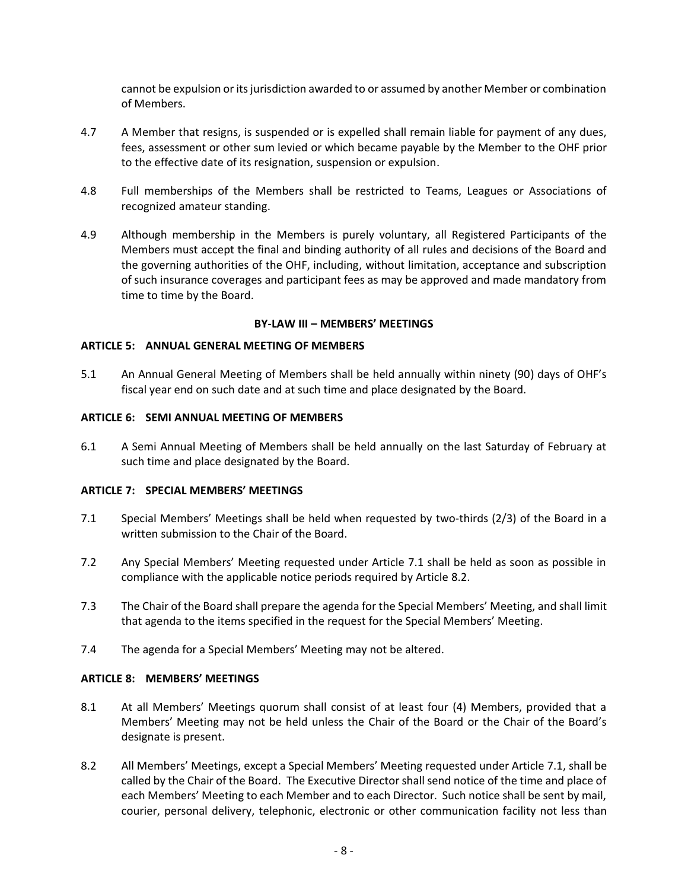cannot be expulsion or its jurisdiction awarded to or assumed by another Member or combination of Members.

- 4.7 A Member that resigns, is suspended or is expelled shall remain liable for payment of any dues, fees, assessment or other sum levied or which became payable by the Member to the OHF prior to the effective date of its resignation, suspension or expulsion.
- 4.8 Full memberships of the Members shall be restricted to Teams, Leagues or Associations of recognized amateur standing.
- 4.9 Although membership in the Members is purely voluntary, all Registered Participants of the Members must accept the final and binding authority of all rules and decisions of the Board and the governing authorities of the OHF, including, without limitation, acceptance and subscription of such insurance coverages and participant fees as may be approved and made mandatory from time to time by the Board.

### **BY-LAW III – MEMBERS' MEETINGS**

### **ARTICLE 5: ANNUAL GENERAL MEETING OF MEMBERS**

5.1 An Annual General Meeting of Members shall be held annually within ninety (90) days of OHF's fiscal year end on such date and at such time and place designated by the Board.

### **ARTICLE 6: SEMI ANNUAL MEETING OF MEMBERS**

6.1 A Semi Annual Meeting of Members shall be held annually on the last Saturday of February at such time and place designated by the Board.

# **ARTICLE 7: SPECIAL MEMBERS' MEETINGS**

- 7.1 Special Members' Meetings shall be held when requested by two-thirds (2/3) of the Board in a written submission to the Chair of the Board.
- 7.2 Any Special Members' Meeting requested under Article 7.1 shall be held as soon as possible in compliance with the applicable notice periods required by Article 8.2.
- 7.3 The Chair of the Board shall prepare the agenda for the Special Members' Meeting, and shall limit that agenda to the items specified in the request for the Special Members' Meeting.
- 7.4 The agenda for a Special Members' Meeting may not be altered.

# **ARTICLE 8: MEMBERS' MEETINGS**

- 8.1 At all Members' Meetings quorum shall consist of at least four (4) Members, provided that a Members' Meeting may not be held unless the Chair of the Board or the Chair of the Board's designate is present.
- 8.2 All Members' Meetings, except a Special Members' Meeting requested under Article 7.1, shall be called by the Chair of the Board. The Executive Director shall send notice of the time and place of each Members' Meeting to each Member and to each Director. Such notice shall be sent by mail, courier, personal delivery, telephonic, electronic or other communication facility not less than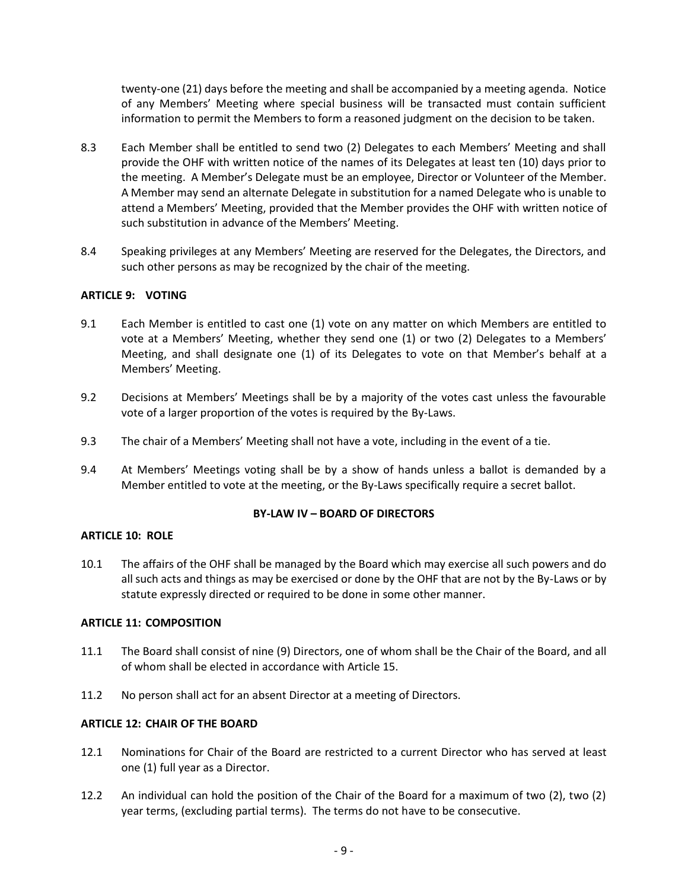twenty-one (21) days before the meeting and shall be accompanied by a meeting agenda. Notice of any Members' Meeting where special business will be transacted must contain sufficient information to permit the Members to form a reasoned judgment on the decision to be taken.

- 8.3 Each Member shall be entitled to send two (2) Delegates to each Members' Meeting and shall provide the OHF with written notice of the names of its Delegates at least ten (10) days prior to the meeting. A Member's Delegate must be an employee, Director or Volunteer of the Member. A Member may send an alternate Delegate in substitution for a named Delegate who is unable to attend a Members' Meeting, provided that the Member provides the OHF with written notice of such substitution in advance of the Members' Meeting.
- 8.4 Speaking privileges at any Members' Meeting are reserved for the Delegates, the Directors, and such other persons as may be recognized by the chair of the meeting.

# **ARTICLE 9: VOTING**

- 9.1 Each Member is entitled to cast one (1) vote on any matter on which Members are entitled to vote at a Members' Meeting, whether they send one (1) or two (2) Delegates to a Members' Meeting, and shall designate one (1) of its Delegates to vote on that Member's behalf at a Members' Meeting.
- 9.2 Decisions at Members' Meetings shall be by a majority of the votes cast unless the favourable vote of a larger proportion of the votes is required by the By-Laws.
- 9.3 The chair of a Members' Meeting shall not have a vote, including in the event of a tie.
- 9.4 At Members' Meetings voting shall be by a show of hands unless a ballot is demanded by a Member entitled to vote at the meeting, or the By-Laws specifically require a secret ballot.

# **BY-LAW IV – BOARD OF DIRECTORS**

# **ARTICLE 10: ROLE**

10.1 The affairs of the OHF shall be managed by the Board which may exercise all such powers and do all such acts and things as may be exercised or done by the OHF that are not by the By-Laws or by statute expressly directed or required to be done in some other manner.

# **ARTICLE 11: COMPOSITION**

- 11.1 The Board shall consist of nine (9) Directors, one of whom shall be the Chair of the Board, and all of whom shall be elected in accordance with Article 15.
- 11.2 No person shall act for an absent Director at a meeting of Directors.

# **ARTICLE 12: CHAIR OF THE BOARD**

- 12.1 Nominations for Chair of the Board are restricted to a current Director who has served at least one (1) full year as a Director.
- 12.2 An individual can hold the position of the Chair of the Board for a maximum of two (2), two (2) year terms, (excluding partial terms). The terms do not have to be consecutive.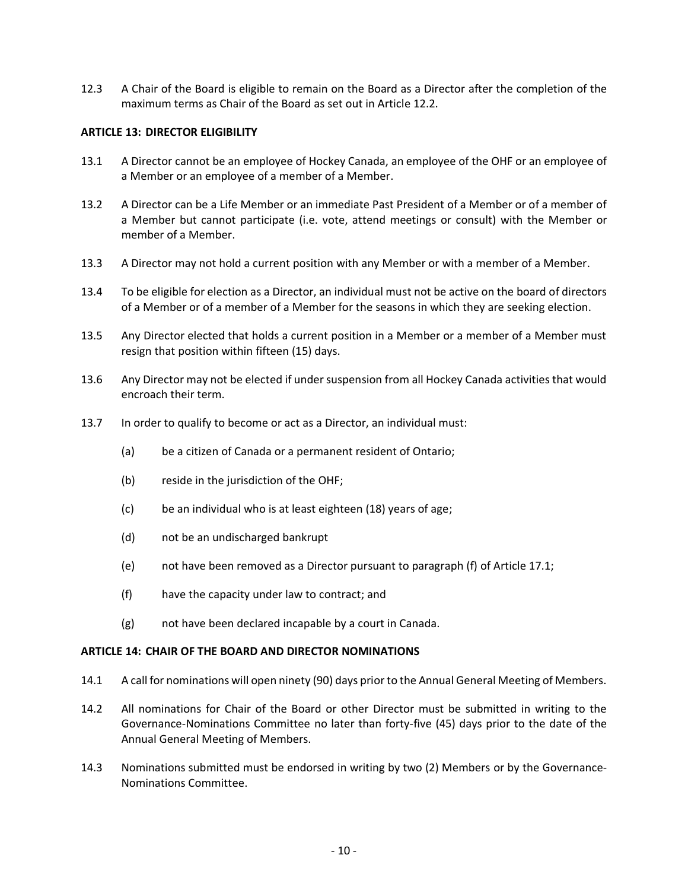12.3 A Chair of the Board is eligible to remain on the Board as a Director after the completion of the maximum terms as Chair of the Board as set out in Article 12.2.

# **ARTICLE 13: DIRECTOR ELIGIBILITY**

- 13.1 A Director cannot be an employee of Hockey Canada, an employee of the OHF or an employee of a Member or an employee of a member of a Member.
- 13.2 A Director can be a Life Member or an immediate Past President of a Member or of a member of a Member but cannot participate (i.e. vote, attend meetings or consult) with the Member or member of a Member.
- 13.3 A Director may not hold a current position with any Member or with a member of a Member.
- 13.4 To be eligible for election as a Director, an individual must not be active on the board of directors of a Member or of a member of a Member for the seasons in which they are seeking election.
- 13.5 Any Director elected that holds a current position in a Member or a member of a Member must resign that position within fifteen (15) days.
- 13.6 Any Director may not be elected if under suspension from all Hockey Canada activities that would encroach their term.
- 13.7 In order to qualify to become or act as a Director, an individual must:
	- (a) be a citizen of Canada or a permanent resident of Ontario;
	- (b) reside in the jurisdiction of the OHF;
	- (c) be an individual who is at least eighteen (18) years of age;
	- (d) not be an undischarged bankrupt
	- (e) not have been removed as a Director pursuant to paragraph (f) of Article 17.1;
	- (f) have the capacity under law to contract; and
	- (g) not have been declared incapable by a court in Canada.

### **ARTICLE 14: CHAIR OF THE BOARD AND DIRECTOR NOMINATIONS**

- 14.1 A call for nominations will open ninety (90) days prior to the Annual General Meeting of Members.
- 14.2 All nominations for Chair of the Board or other Director must be submitted in writing to the Governance-Nominations Committee no later than forty-five (45) days prior to the date of the Annual General Meeting of Members.
- 14.3 Nominations submitted must be endorsed in writing by two (2) Members or by the Governance-Nominations Committee.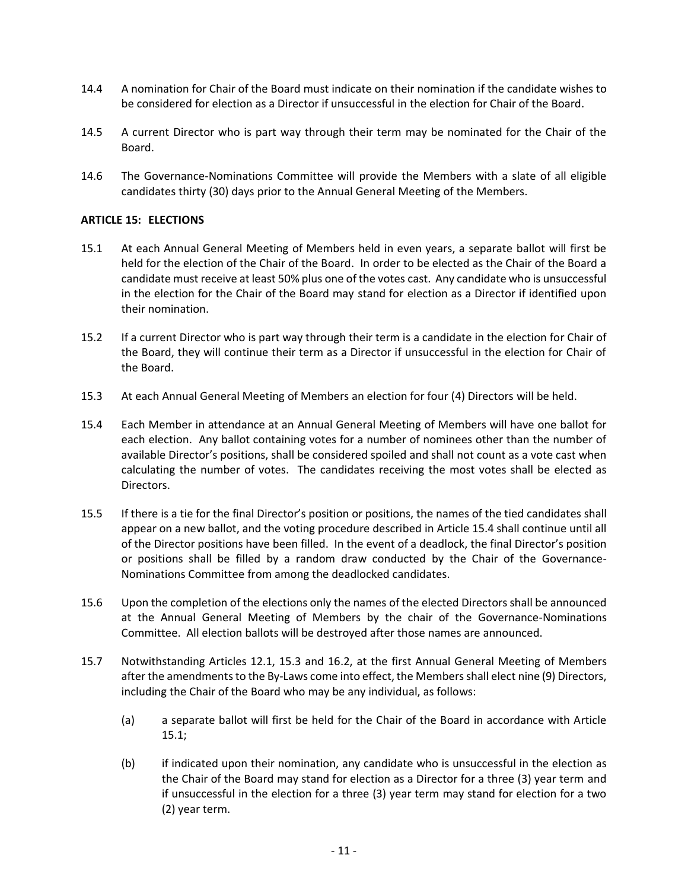- 14.4 A nomination for Chair of the Board must indicate on their nomination if the candidate wishes to be considered for election as a Director if unsuccessful in the election for Chair of the Board.
- 14.5 A current Director who is part way through their term may be nominated for the Chair of the Board.
- 14.6 The Governance-Nominations Committee will provide the Members with a slate of all eligible candidates thirty (30) days prior to the Annual General Meeting of the Members.

# **ARTICLE 15: ELECTIONS**

- 15.1 At each Annual General Meeting of Members held in even years, a separate ballot will first be held for the election of the Chair of the Board. In order to be elected as the Chair of the Board a candidate must receive at least 50% plus one of the votes cast. Any candidate who is unsuccessful in the election for the Chair of the Board may stand for election as a Director if identified upon their nomination.
- 15.2 If a current Director who is part way through their term is a candidate in the election for Chair of the Board, they will continue their term as a Director if unsuccessful in the election for Chair of the Board.
- 15.3 At each Annual General Meeting of Members an election for four (4) Directors will be held.
- 15.4 Each Member in attendance at an Annual General Meeting of Members will have one ballot for each election. Any ballot containing votes for a number of nominees other than the number of available Director's positions, shall be considered spoiled and shall not count as a vote cast when calculating the number of votes. The candidates receiving the most votes shall be elected as Directors.
- 15.5 If there is a tie for the final Director's position or positions, the names of the tied candidates shall appear on a new ballot, and the voting procedure described in Article 15.4 shall continue until all of the Director positions have been filled. In the event of a deadlock, the final Director's position or positions shall be filled by a random draw conducted by the Chair of the Governance-Nominations Committee from among the deadlocked candidates.
- 15.6 Upon the completion of the elections only the names of the elected Directors shall be announced at the Annual General Meeting of Members by the chair of the Governance-Nominations Committee. All election ballots will be destroyed after those names are announced.
- 15.7 Notwithstanding Articles 12.1, 15.3 and 16.2, at the first Annual General Meeting of Members after the amendments to the By-Laws come into effect, the Members shall elect nine (9) Directors, including the Chair of the Board who may be any individual, as follows:
	- (a) a separate ballot will first be held for the Chair of the Board in accordance with Article 15.1;
	- (b) if indicated upon their nomination, any candidate who is unsuccessful in the election as the Chair of the Board may stand for election as a Director for a three (3) year term and if unsuccessful in the election for a three (3) year term may stand for election for a two (2) year term.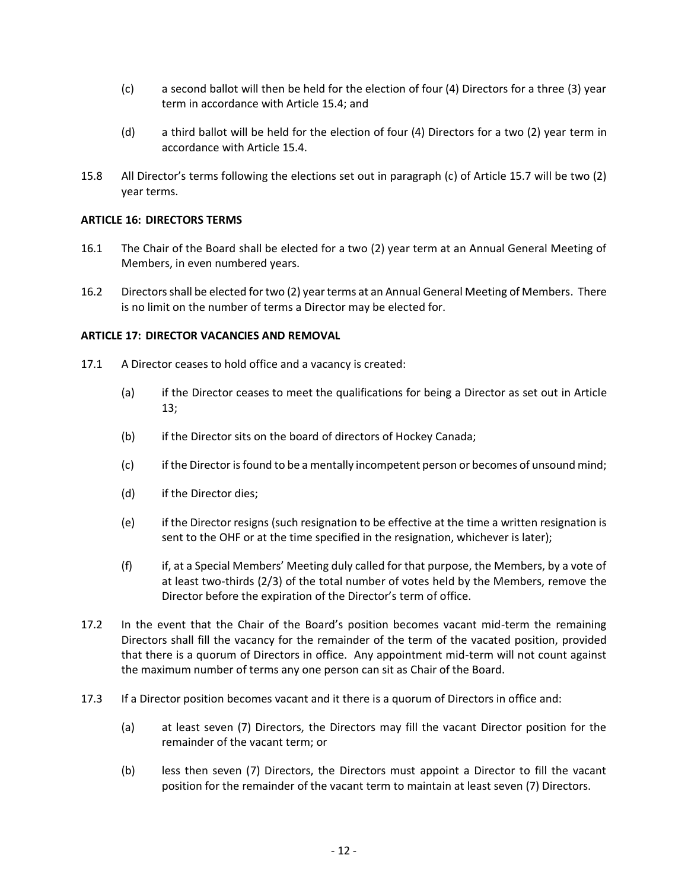- (c) a second ballot will then be held for the election of four (4) Directors for a three (3) year term in accordance with Article 15.4; and
- (d) a third ballot will be held for the election of four (4) Directors for a two (2) year term in accordance with Article 15.4.
- 15.8 All Director's terms following the elections set out in paragraph (c) of Article 15.7 will be two (2) year terms.

## **ARTICLE 16: DIRECTORS TERMS**

- 16.1 The Chair of the Board shall be elected for a two (2) year term at an Annual General Meeting of Members, in even numbered years.
- 16.2 Directorsshall be elected for two (2) year terms at an Annual General Meeting of Members. There is no limit on the number of terms a Director may be elected for.

### **ARTICLE 17: DIRECTOR VACANCIES AND REMOVAL**

- 17.1 A Director ceases to hold office and a vacancy is created:
	- (a) if the Director ceases to meet the qualifications for being a Director as set out in Article 13;
	- (b) if the Director sits on the board of directors of Hockey Canada;
	- (c) if the Director is found to be a mentally incompetent person or becomes of unsound mind;
	- (d) if the Director dies;
	- (e) if the Director resigns (such resignation to be effective at the time a written resignation is sent to the OHF or at the time specified in the resignation, whichever is later);
	- (f) if, at a Special Members' Meeting duly called for that purpose, the Members, by a vote of at least two-thirds (2/3) of the total number of votes held by the Members, remove the Director before the expiration of the Director's term of office.
- 17.2 In the event that the Chair of the Board's position becomes vacant mid-term the remaining Directors shall fill the vacancy for the remainder of the term of the vacated position, provided that there is a quorum of Directors in office. Any appointment mid-term will not count against the maximum number of terms any one person can sit as Chair of the Board.
- 17.3 If a Director position becomes vacant and it there is a quorum of Directors in office and:
	- (a) at least seven (7) Directors, the Directors may fill the vacant Director position for the remainder of the vacant term; or
	- (b) less then seven (7) Directors, the Directors must appoint a Director to fill the vacant position for the remainder of the vacant term to maintain at least seven (7) Directors.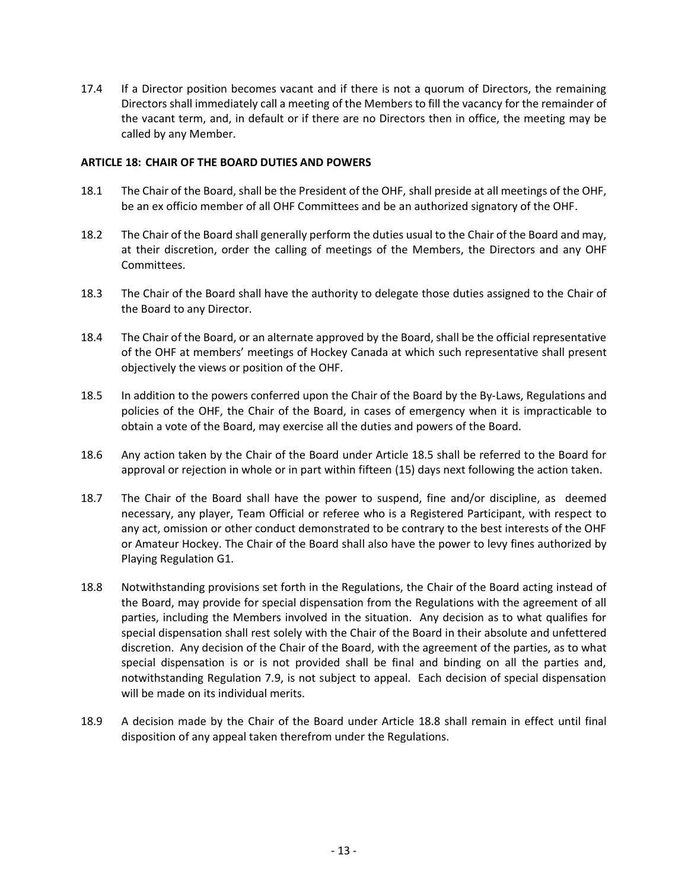17.4 If a Director position becomes vacant and if there is not a quorum of Directors, the remaining Directors shall immediately call a meeting of the Members to fill the vacancy for the remainder of the vacant term, and, in default or if there are no Directors then in office, the meeting may be called by any Member.

## **ARTICLE 18: CHAIR OF THE BOARD DUTIES AND POWERS**

- 18.1 The Chair of the Board, shall be the President of the OHF, shall preside at all meetings of the OHF, be an ex officio member of all OHF Committees and be an authorized signatory of the OHF.
- 18.2 The Chair of the Board shall generally perform the duties usual to the Chair of the Board and may, at their discretion, order the calling of meetings of the Members, the Directors and any OHF Committees.
- 18.3 The Chair of the Board shall have the authority to delegate those duties assigned to the Chair of the Board to any Director.
- 18.4 The Chair of the Board, or an alternate approved by the Board, shall be the official representative of the OHF at members' meetings of Hockey Canada at which such representative shall present objectively the views or position of the OHF.
- 18.5 In addition to the powers conferred upon the Chair of the Board by the By-Laws, Regulations and policies of the OHF, the Chair of the Board, in cases of emergency when it is impracticable to obtain a vote of the Board, may exercise all the duties and powers of the Board.
- 18.6 Any action taken by the Chair of the Board under Article 18.5 shall be referred to the Board for approval or rejection in whole or in part within fifteen (15) days next following the action taken.
- 18.7 The Chair of the Board shall have the power to suspend, fine and/or discipline, as deemed necessary, any player, Team Official or referee who is a Registered Participant, with respect to any act, omission or other conduct demonstrated to be contrary to the best interests of the OHF or Amateur Hockey. The Chair of the Board shall also have the power to levy fines authorized by Playing Regulation G1.
- 18.8 Notwithstanding provisions set forth in the Regulations, the Chair of the Board acting instead of the Board, may provide for special dispensation from the Regulations with the agreement of all parties, including the Members involved in the situation. Any decision as to what qualifies for special dispensation shall rest solely with the Chair of the Board in their absolute and unfettered discretion. Any decision of the Chair of the Board, with the agreement of the parties, as to what special dispensation is or is not provided shall be final and binding on all the parties and, notwithstanding Regulation 7.9, is not subject to appeal. Each decision of special dispensation will be made on its individual merits.
- 18.9 A decision made by the Chair of the Board under Article 18.8 shall remain in effect until final disposition of any appeal taken therefrom under the Regulations.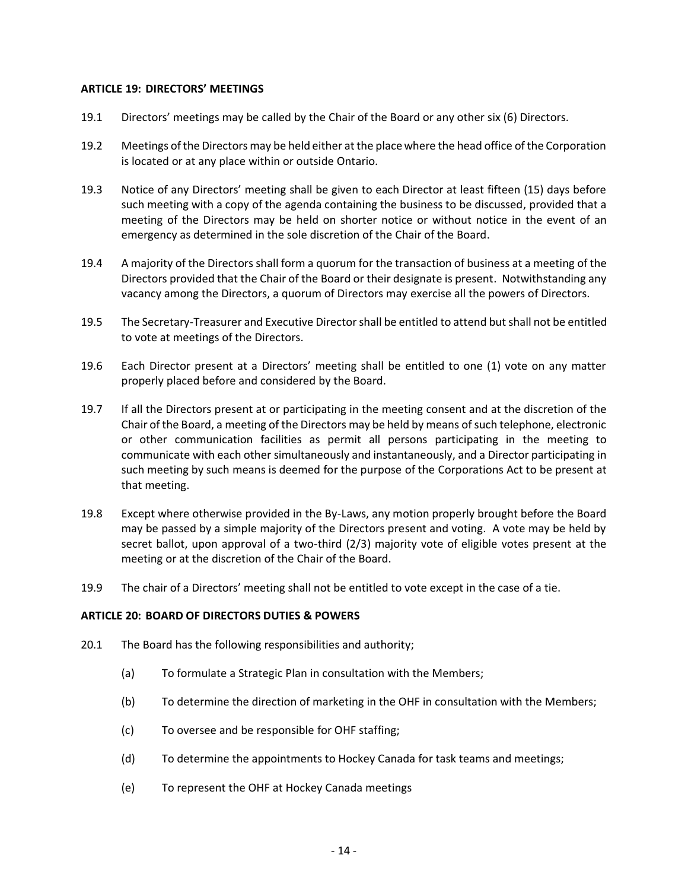## **ARTICLE 19: DIRECTORS' MEETINGS**

- 19.1 Directors' meetings may be called by the Chair of the Board or any other six (6) Directors.
- 19.2 Meetings of the Directors may be held either at the place where the head office of the Corporation is located or at any place within or outside Ontario.
- 19.3 Notice of any Directors' meeting shall be given to each Director at least fifteen (15) days before such meeting with a copy of the agenda containing the business to be discussed, provided that a meeting of the Directors may be held on shorter notice or without notice in the event of an emergency as determined in the sole discretion of the Chair of the Board.
- 19.4 A majority of the Directors shall form a quorum for the transaction of business at a meeting of the Directors provided that the Chair of the Board or their designate is present. Notwithstanding any vacancy among the Directors, a quorum of Directors may exercise all the powers of Directors.
- 19.5 The Secretary-Treasurer and Executive Director shall be entitled to attend but shall not be entitled to vote at meetings of the Directors.
- 19.6 Each Director present at a Directors' meeting shall be entitled to one (1) vote on any matter properly placed before and considered by the Board.
- 19.7 If all the Directors present at or participating in the meeting consent and at the discretion of the Chair of the Board, a meeting of the Directors may be held by means of such telephone, electronic or other communication facilities as permit all persons participating in the meeting to communicate with each other simultaneously and instantaneously, and a Director participating in such meeting by such means is deemed for the purpose of the Corporations Act to be present at that meeting.
- 19.8 Except where otherwise provided in the By-Laws, any motion properly brought before the Board may be passed by a simple majority of the Directors present and voting. A vote may be held by secret ballot, upon approval of a two-third (2/3) majority vote of eligible votes present at the meeting or at the discretion of the Chair of the Board.
- 19.9 The chair of a Directors' meeting shall not be entitled to vote except in the case of a tie.

### **ARTICLE 20: BOARD OF DIRECTORS DUTIES & POWERS**

- 20.1 The Board has the following responsibilities and authority;
	- (a) To formulate a Strategic Plan in consultation with the Members;
	- (b) To determine the direction of marketing in the OHF in consultation with the Members;
	- (c) To oversee and be responsible for OHF staffing;
	- (d) To determine the appointments to Hockey Canada for task teams and meetings;
	- (e) To represent the OHF at Hockey Canada meetings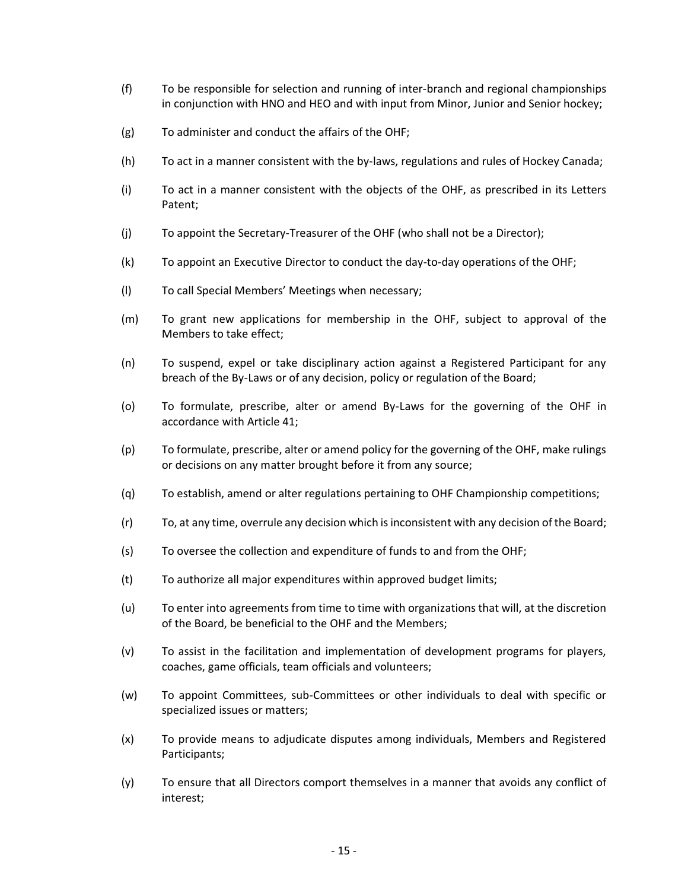- (f) To be responsible for selection and running of inter-branch and regional championships in conjunction with HNO and HEO and with input from Minor, Junior and Senior hockey;
- (g) To administer and conduct the affairs of the OHF;
- (h) To act in a manner consistent with the by-laws, regulations and rules of Hockey Canada;
- (i) To act in a manner consistent with the objects of the OHF, as prescribed in its Letters Patent;
- (j) To appoint the Secretary-Treasurer of the OHF (who shall not be a Director);
- (k) To appoint an Executive Director to conduct the day-to-day operations of the OHF;
- (l) To call Special Members' Meetings when necessary;
- (m) To grant new applications for membership in the OHF, subject to approval of the Members to take effect;
- (n) To suspend, expel or take disciplinary action against a Registered Participant for any breach of the By-Laws or of any decision, policy or regulation of the Board;
- (o) To formulate, prescribe, alter or amend By-Laws for the governing of the OHF in accordance with Article 41;
- (p) To formulate, prescribe, alter or amend policy for the governing of the OHF, make rulings or decisions on any matter brought before it from any source;
- (q) To establish, amend or alter regulations pertaining to OHF Championship competitions;
- (r) To, at any time, overrule any decision which is inconsistent with any decision of the Board;
- (s) To oversee the collection and expenditure of funds to and from the OHF;
- (t) To authorize all major expenditures within approved budget limits;
- (u) To enter into agreements from time to time with organizations that will, at the discretion of the Board, be beneficial to the OHF and the Members;
- (v) To assist in the facilitation and implementation of development programs for players, coaches, game officials, team officials and volunteers;
- (w) To appoint Committees, sub-Committees or other individuals to deal with specific or specialized issues or matters;
- (x) To provide means to adjudicate disputes among individuals, Members and Registered Participants;
- (y) To ensure that all Directors comport themselves in a manner that avoids any conflict of interest;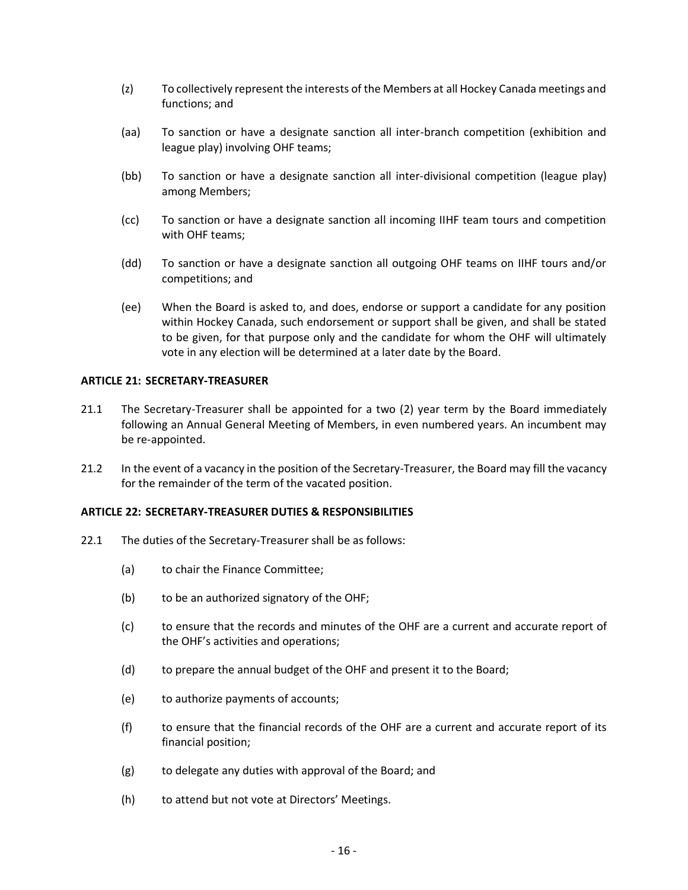- (z) To collectively represent the interests of the Members at all Hockey Canada meetings and functions; and
- (aa) To sanction or have a designate sanction all inter-branch competition (exhibition and league play) involving OHF teams;
- (bb) To sanction or have a designate sanction all inter-divisional competition (league play) among Members;
- (cc) To sanction or have a designate sanction all incoming IIHF team tours and competition with OHF teams;
- (dd) To sanction or have a designate sanction all outgoing OHF teams on IIHF tours and/or competitions; and
- (ee) When the Board is asked to, and does, endorse or support a candidate for any position within Hockey Canada, such endorsement or support shall be given, and shall be stated to be given, for that purpose only and the candidate for whom the OHF will ultimately vote in any election will be determined at a later date by the Board.

### **ARTICLE 21: SECRETARY-TREASURER**

- 21.1 The Secretary-Treasurer shall be appointed for a two (2) year term by the Board immediately following an Annual General Meeting of Members, in even numbered years. An incumbent may be re-appointed.
- 21.2 In the event of a vacancy in the position of the Secretary-Treasurer, the Board may fill the vacancy for the remainder of the term of the vacated position.

# **ARTICLE 22: SECRETARY-TREASURER DUTIES & RESPONSIBILITIES**

- 22.1 The duties of the Secretary-Treasurer shall be as follows:
	- (a) to chair the Finance Committee;
	- (b) to be an authorized signatory of the OHF;
	- (c) to ensure that the records and minutes of the OHF are a current and accurate report of the OHF's activities and operations;
	- (d) to prepare the annual budget of the OHF and present it to the Board;
	- (e) to authorize payments of accounts;
	- (f) to ensure that the financial records of the OHF are a current and accurate report of its financial position;
	- (g) to delegate any duties with approval of the Board; and
	- (h) to attend but not vote at Directors' Meetings.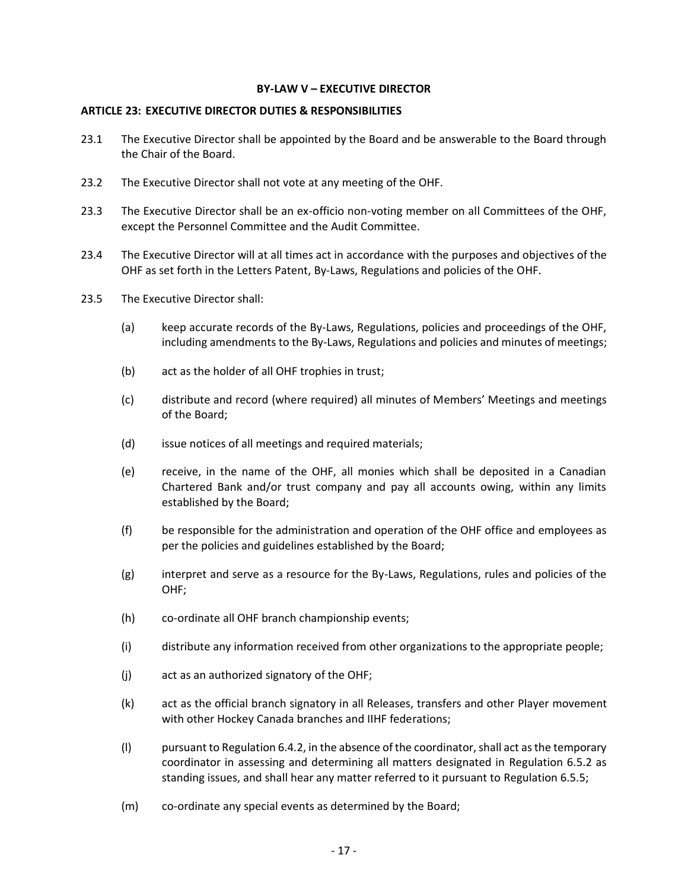### **BY-LAW V – EXECUTIVE DIRECTOR**

### **ARTICLE 23: EXECUTIVE DIRECTOR DUTIES & RESPONSIBILITIES**

- 23.1 The Executive Director shall be appointed by the Board and be answerable to the Board through the Chair of the Board.
- 23.2 The Executive Director shall not vote at any meeting of the OHF.
- 23.3 The Executive Director shall be an ex-officio non-voting member on all Committees of the OHF, except the Personnel Committee and the Audit Committee.
- 23.4 The Executive Director will at all times act in accordance with the purposes and objectives of the OHF as set forth in the Letters Patent, By-Laws, Regulations and policies of the OHF.
- 23.5 The Executive Director shall:
	- (a) keep accurate records of the By-Laws, Regulations, policies and proceedings of the OHF, including amendments to the By-Laws, Regulations and policies and minutes of meetings;
	- (b) act as the holder of all OHF trophies in trust;
	- (c) distribute and record (where required) all minutes of Members' Meetings and meetings of the Board;
	- (d) issue notices of all meetings and required materials;
	- (e) receive, in the name of the OHF, all monies which shall be deposited in a Canadian Chartered Bank and/or trust company and pay all accounts owing, within any limits established by the Board;
	- (f) be responsible for the administration and operation of the OHF office and employees as per the policies and guidelines established by the Board;
	- (g) interpret and serve as a resource for the By-Laws, Regulations, rules and policies of the OHF;
	- (h) co-ordinate all OHF branch championship events;
	- (i) distribute any information received from other organizations to the appropriate people;
	- (j) act as an authorized signatory of the OHF;
	- (k) act as the official branch signatory in all Releases, transfers and other Player movement with other Hockey Canada branches and IIHF federations;
	- (l) pursuant to Regulation 6.4.2, in the absence of the coordinator, shall act as the temporary coordinator in assessing and determining all matters designated in Regulation 6.5.2 as standing issues, and shall hear any matter referred to it pursuant to Regulation 6.5.5;
	- (m) co-ordinate any special events as determined by the Board;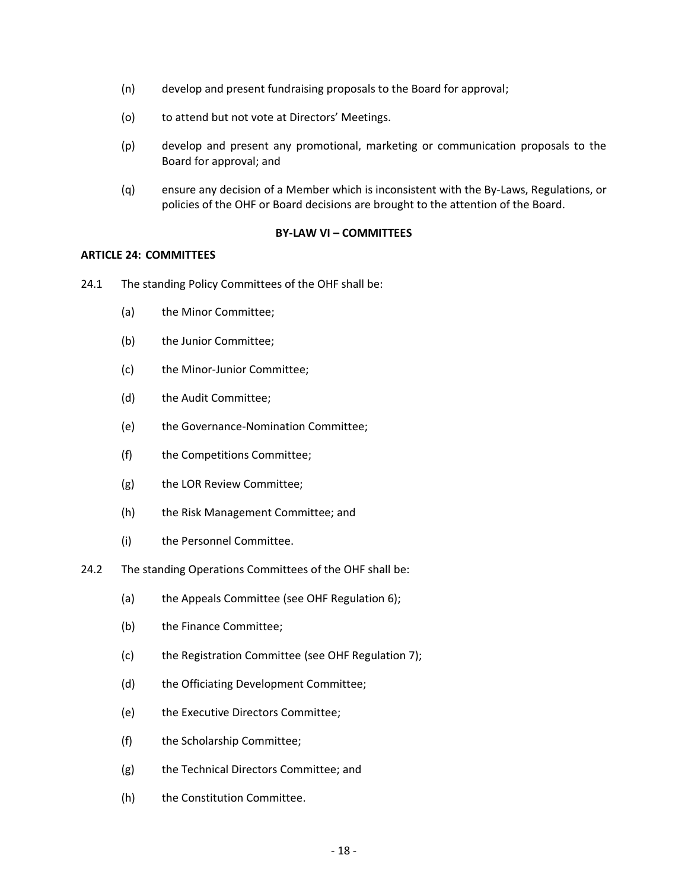- (n) develop and present fundraising proposals to the Board for approval;
- (o) to attend but not vote at Directors' Meetings.
- (p) develop and present any promotional, marketing or communication proposals to the Board for approval; and
- (q) ensure any decision of a Member which is inconsistent with the By-Laws, Regulations, or policies of the OHF or Board decisions are brought to the attention of the Board.

### **BY-LAW VI – COMMITTEES**

### **ARTICLE 24: COMMITTEES**

- 24.1 The standing Policy Committees of the OHF shall be:
	- (a) the Minor Committee;
	- (b) the Junior Committee;
	- (c) the Minor-Junior Committee;
	- (d) the Audit Committee;
	- (e) the Governance-Nomination Committee;
	- (f) the Competitions Committee;
	- (g) the LOR Review Committee;
	- (h) the Risk Management Committee; and
	- (i) the Personnel Committee.
- 24.2 The standing Operations Committees of the OHF shall be:
	- (a) the Appeals Committee (see OHF Regulation 6);
	- (b) the Finance Committee;
	- (c) the Registration Committee (see OHF Regulation 7);
	- (d) the Officiating Development Committee;
	- (e) the Executive Directors Committee;
	- (f) the Scholarship Committee;
	- (g) the Technical Directors Committee; and
	- (h) the Constitution Committee.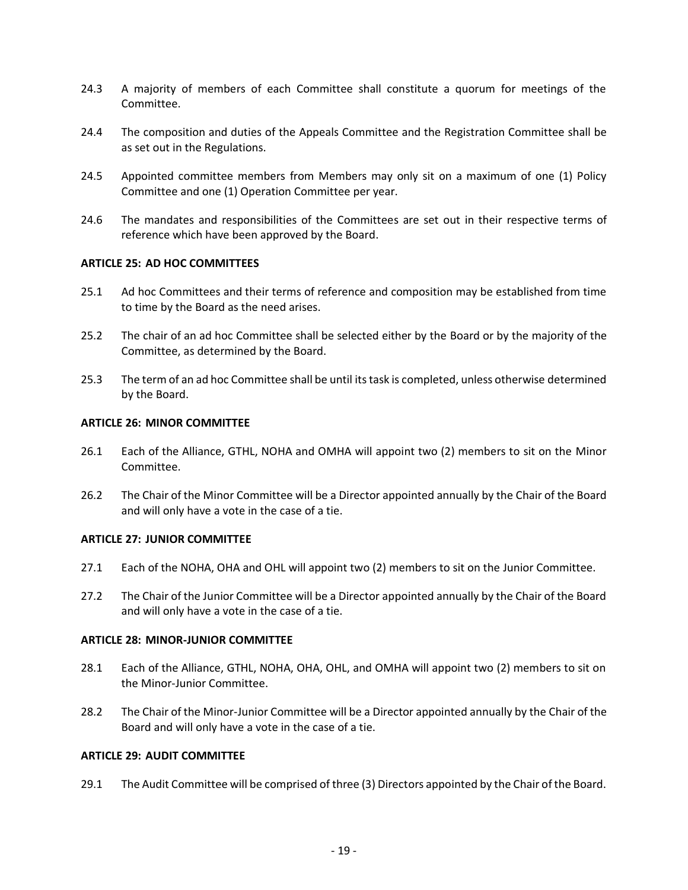- 24.3 A majority of members of each Committee shall constitute a quorum for meetings of the Committee.
- 24.4 The composition and duties of the Appeals Committee and the Registration Committee shall be as set out in the Regulations.
- 24.5 Appointed committee members from Members may only sit on a maximum of one (1) Policy Committee and one (1) Operation Committee per year.
- 24.6 The mandates and responsibilities of the Committees are set out in their respective terms of reference which have been approved by the Board.

### **ARTICLE 25: AD HOC COMMITTEES**

- 25.1 Ad hoc Committees and their terms of reference and composition may be established from time to time by the Board as the need arises.
- 25.2 The chair of an ad hoc Committee shall be selected either by the Board or by the majority of the Committee, as determined by the Board.
- 25.3 The term of an ad hoc Committee shall be until its task is completed, unless otherwise determined by the Board.

### **ARTICLE 26: MINOR COMMITTEE**

- 26.1 Each of the Alliance, GTHL, NOHA and OMHA will appoint two (2) members to sit on the Minor Committee.
- 26.2 The Chair of the Minor Committee will be a Director appointed annually by the Chair of the Board and will only have a vote in the case of a tie.

### **ARTICLE 27: JUNIOR COMMITTEE**

- 27.1 Each of the NOHA, OHA and OHL will appoint two (2) members to sit on the Junior Committee.
- 27.2 The Chair of the Junior Committee will be a Director appointed annually by the Chair of the Board and will only have a vote in the case of a tie.

### **ARTICLE 28: MINOR-JUNIOR COMMITTEE**

- 28.1 Each of the Alliance, GTHL, NOHA, OHA, OHL, and OMHA will appoint two (2) members to sit on the Minor-Junior Committee.
- 28.2 The Chair of the Minor-Junior Committee will be a Director appointed annually by the Chair of the Board and will only have a vote in the case of a tie.

# **ARTICLE 29: AUDIT COMMITTEE**

29.1 The Audit Committee will be comprised of three (3) Directors appointed by the Chair of the Board.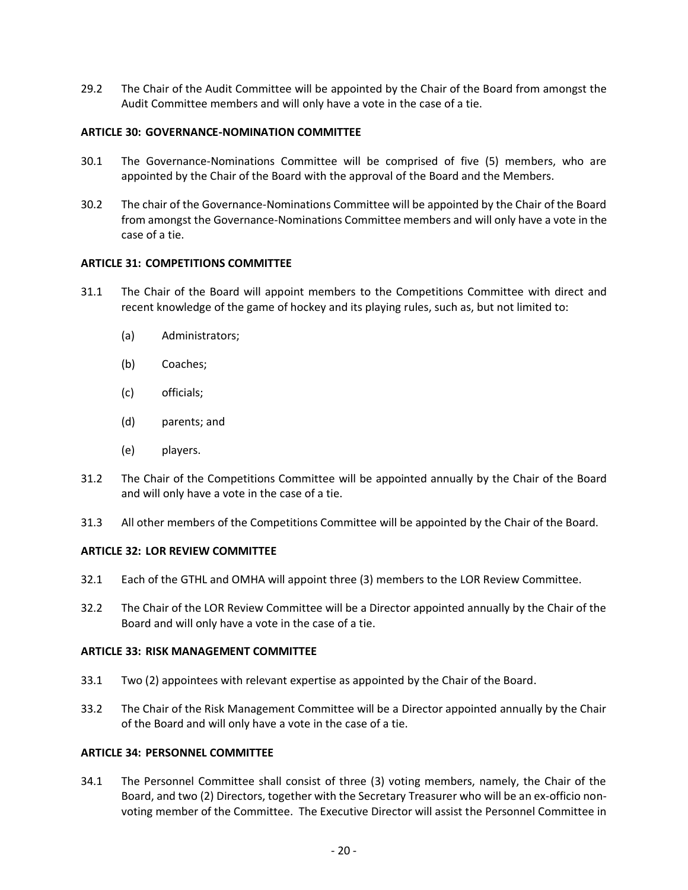29.2 The Chair of the Audit Committee will be appointed by the Chair of the Board from amongst the Audit Committee members and will only have a vote in the case of a tie.

## **ARTICLE 30: GOVERNANCE-NOMINATION COMMITTEE**

- 30.1 The Governance-Nominations Committee will be comprised of five (5) members, who are appointed by the Chair of the Board with the approval of the Board and the Members.
- 30.2 The chair of the Governance-Nominations Committee will be appointed by the Chair of the Board from amongst the Governance-Nominations Committee members and will only have a vote in the case of a tie.

## **ARTICLE 31: COMPETITIONS COMMITTEE**

- 31.1 The Chair of the Board will appoint members to the Competitions Committee with direct and recent knowledge of the game of hockey and its playing rules, such as, but not limited to:
	- (a) Administrators;
	- (b) Coaches;
	- (c) officials;
	- (d) parents; and
	- (e) players.
- 31.2 The Chair of the Competitions Committee will be appointed annually by the Chair of the Board and will only have a vote in the case of a tie.
- 31.3 All other members of the Competitions Committee will be appointed by the Chair of the Board.

# **ARTICLE 32: LOR REVIEW COMMITTEE**

- 32.1 Each of the GTHL and OMHA will appoint three (3) members to the LOR Review Committee.
- 32.2 The Chair of the LOR Review Committee will be a Director appointed annually by the Chair of the Board and will only have a vote in the case of a tie.

### **ARTICLE 33: RISK MANAGEMENT COMMITTEE**

- 33.1 Two (2) appointees with relevant expertise as appointed by the Chair of the Board.
- 33.2 The Chair of the Risk Management Committee will be a Director appointed annually by the Chair of the Board and will only have a vote in the case of a tie.

### **ARTICLE 34: PERSONNEL COMMITTEE**

34.1 The Personnel Committee shall consist of three (3) voting members, namely, the Chair of the Board, and two (2) Directors, together with the Secretary Treasurer who will be an ex-officio nonvoting member of the Committee. The Executive Director will assist the Personnel Committee in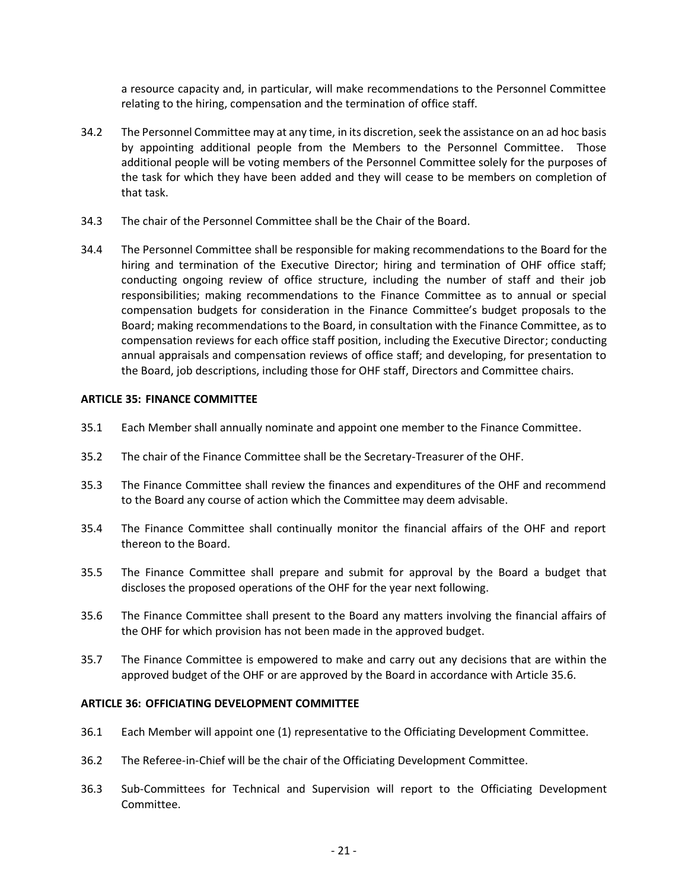a resource capacity and, in particular, will make recommendations to the Personnel Committee relating to the hiring, compensation and the termination of office staff.

- 34.2 The Personnel Committee may at any time, in its discretion, seek the assistance on an ad hoc basis by appointing additional people from the Members to the Personnel Committee. Those additional people will be voting members of the Personnel Committee solely for the purposes of the task for which they have been added and they will cease to be members on completion of that task.
- 34.3 The chair of the Personnel Committee shall be the Chair of the Board.
- 34.4 The Personnel Committee shall be responsible for making recommendations to the Board for the hiring and termination of the Executive Director; hiring and termination of OHF office staff; conducting ongoing review of office structure, including the number of staff and their job responsibilities; making recommendations to the Finance Committee as to annual or special compensation budgets for consideration in the Finance Committee's budget proposals to the Board; making recommendations to the Board, in consultation with the Finance Committee, as to compensation reviews for each office staff position, including the Executive Director; conducting annual appraisals and compensation reviews of office staff; and developing, for presentation to the Board, job descriptions, including those for OHF staff, Directors and Committee chairs.

### **ARTICLE 35: FINANCE COMMITTEE**

- 35.1 Each Member shall annually nominate and appoint one member to the Finance Committee.
- 35.2 The chair of the Finance Committee shall be the Secretary-Treasurer of the OHF.
- 35.3 The Finance Committee shall review the finances and expenditures of the OHF and recommend to the Board any course of action which the Committee may deem advisable.
- 35.4 The Finance Committee shall continually monitor the financial affairs of the OHF and report thereon to the Board.
- 35.5 The Finance Committee shall prepare and submit for approval by the Board a budget that discloses the proposed operations of the OHF for the year next following.
- 35.6 The Finance Committee shall present to the Board any matters involving the financial affairs of the OHF for which provision has not been made in the approved budget.
- 35.7 The Finance Committee is empowered to make and carry out any decisions that are within the approved budget of the OHF or are approved by the Board in accordance with Article 35.6.

### **ARTICLE 36: OFFICIATING DEVELOPMENT COMMITTEE**

- 36.1 Each Member will appoint one (1) representative to the Officiating Development Committee.
- 36.2 The Referee-in-Chief will be the chair of the Officiating Development Committee.
- 36.3 Sub-Committees for Technical and Supervision will report to the Officiating Development Committee.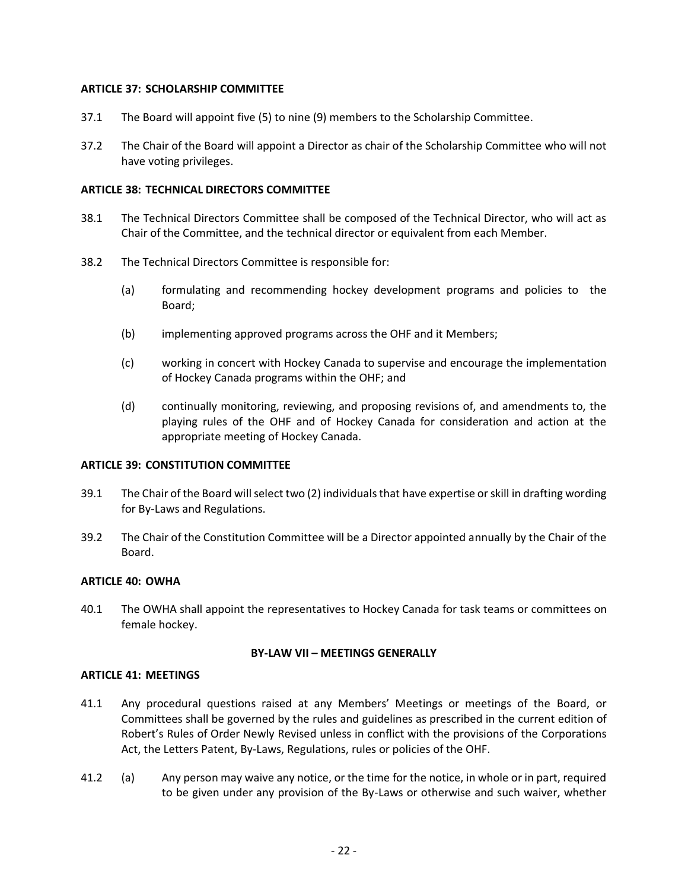## **ARTICLE 37: SCHOLARSHIP COMMITTEE**

- 37.1 The Board will appoint five (5) to nine (9) members to the Scholarship Committee.
- 37.2 The Chair of the Board will appoint a Director as chair of the Scholarship Committee who will not have voting privileges.

#### **ARTICLE 38: TECHNICAL DIRECTORS COMMITTEE**

- 38.1 The Technical Directors Committee shall be composed of the Technical Director, who will act as Chair of the Committee, and the technical director or equivalent from each Member.
- 38.2 The Technical Directors Committee is responsible for:
	- (a) formulating and recommending hockey development programs and policies to the Board;
	- (b) implementing approved programs across the OHF and it Members;
	- (c) working in concert with Hockey Canada to supervise and encourage the implementation of Hockey Canada programs within the OHF; and
	- (d) continually monitoring, reviewing, and proposing revisions of, and amendments to, the playing rules of the OHF and of Hockey Canada for consideration and action at the appropriate meeting of Hockey Canada.

### **ARTICLE 39: CONSTITUTION COMMITTEE**

- 39.1 The Chair of the Board will select two (2) individuals that have expertise or skill in drafting wording for By-Laws and Regulations.
- 39.2 The Chair of the Constitution Committee will be a Director appointed annually by the Chair of the Board.

### **ARTICLE 40: OWHA**

40.1 The OWHA shall appoint the representatives to Hockey Canada for task teams or committees on female hockey.

### **BY-LAW VII – MEETINGS GENERALLY**

### **ARTICLE 41: MEETINGS**

- 41.1 Any procedural questions raised at any Members' Meetings or meetings of the Board, or Committees shall be governed by the rules and guidelines as prescribed in the current edition of Robert's Rules of Order Newly Revised unless in conflict with the provisions of the Corporations Act, the Letters Patent, By-Laws, Regulations, rules or policies of the OHF.
- 41.2 (a) Any person may waive any notice, or the time for the notice, in whole or in part, required to be given under any provision of the By-Laws or otherwise and such waiver, whether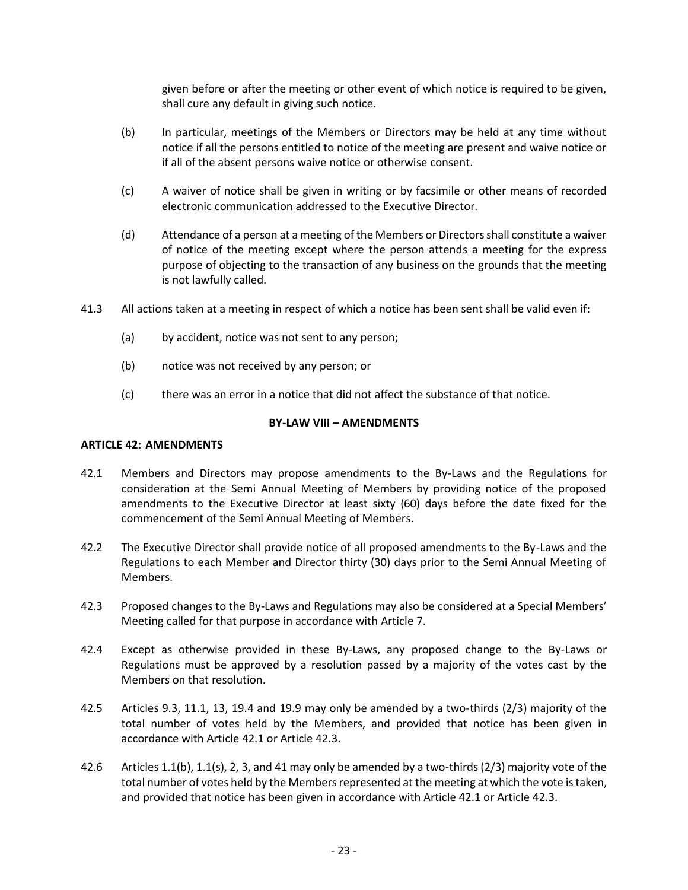given before or after the meeting or other event of which notice is required to be given, shall cure any default in giving such notice.

- (b) In particular, meetings of the Members or Directors may be held at any time without notice if all the persons entitled to notice of the meeting are present and waive notice or if all of the absent persons waive notice or otherwise consent.
- (c) A waiver of notice shall be given in writing or by facsimile or other means of recorded electronic communication addressed to the Executive Director.
- (d) Attendance of a person at a meeting of the Members or Directors shall constitute a waiver of notice of the meeting except where the person attends a meeting for the express purpose of objecting to the transaction of any business on the grounds that the meeting is not lawfully called.
- 41.3 All actions taken at a meeting in respect of which a notice has been sent shall be valid even if:
	- (a) by accident, notice was not sent to any person;
	- (b) notice was not received by any person; or
	- (c) there was an error in a notice that did not affect the substance of that notice.

# **BY-LAW VIII – AMENDMENTS**

# **ARTICLE 42: AMENDMENTS**

- 42.1 Members and Directors may propose amendments to the By-Laws and the Regulations for consideration at the Semi Annual Meeting of Members by providing notice of the proposed amendments to the Executive Director at least sixty (60) days before the date fixed for the commencement of the Semi Annual Meeting of Members.
- 42.2 The Executive Director shall provide notice of all proposed amendments to the By-Laws and the Regulations to each Member and Director thirty (30) days prior to the Semi Annual Meeting of Members.
- 42.3 Proposed changes to the By-Laws and Regulations may also be considered at a Special Members' Meeting called for that purpose in accordance with Article 7.
- 42.4 Except as otherwise provided in these By-Laws, any proposed change to the By-Laws or Regulations must be approved by a resolution passed by a majority of the votes cast by the Members on that resolution.
- 42.5 Articles 9.3, 11.1, 13, 19.4 and 19.9 may only be amended by a two-thirds (2/3) majority of the total number of votes held by the Members, and provided that notice has been given in accordance with Article 42.1 or Article 42.3.
- 42.6 Articles 1.1(b), 1.1(s), 2, 3, and 41 may only be amended by a two-thirds (2/3) majority vote of the total number of votes held by the Members represented at the meeting at which the vote is taken, and provided that notice has been given in accordance with Article 42.1 or Article 42.3.